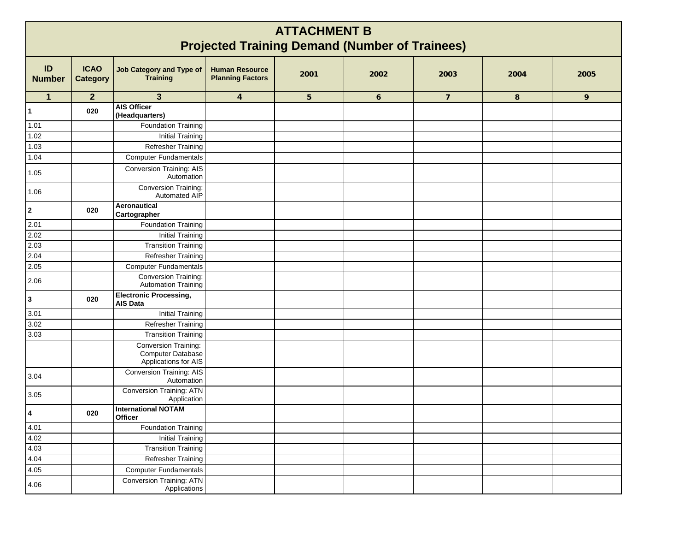| <b>ATTACHMENT B</b><br><b>Projected Training Demand (Number of Trainees)</b> |                                |                                                                   |                                                  |                 |              |                |      |      |  |  |  |  |  |
|------------------------------------------------------------------------------|--------------------------------|-------------------------------------------------------------------|--------------------------------------------------|-----------------|--------------|----------------|------|------|--|--|--|--|--|
| ID<br><b>Number</b>                                                          | <b>ICAO</b><br><b>Category</b> | <b>Job Category and Type of</b><br><b>Training</b>                | <b>Human Resource</b><br><b>Planning Factors</b> | 2001            | 2002         | 2003           | 2004 | 2005 |  |  |  |  |  |
| $\mathbf{1}$                                                                 | $\overline{2}$                 | $\mathbf{3}$                                                      | 4                                                | $5\phantom{.0}$ | $\mathbf{6}$ | $\overline{7}$ | 8    | 9    |  |  |  |  |  |
|                                                                              | 020                            | <b>AIS Officer</b><br>(Headquarters)                              |                                                  |                 |              |                |      |      |  |  |  |  |  |
| 1.01                                                                         |                                | Foundation Training                                               |                                                  |                 |              |                |      |      |  |  |  |  |  |
| 1.02                                                                         |                                | <b>Initial Training</b>                                           |                                                  |                 |              |                |      |      |  |  |  |  |  |
| 1.03                                                                         |                                | Refresher Training                                                |                                                  |                 |              |                |      |      |  |  |  |  |  |
| 1.04                                                                         |                                | <b>Computer Fundamentals</b>                                      |                                                  |                 |              |                |      |      |  |  |  |  |  |
| 1.05                                                                         |                                | <b>Conversion Training: AIS</b><br>Automation                     |                                                  |                 |              |                |      |      |  |  |  |  |  |
| 1.06                                                                         |                                | Conversion Training:<br>Automated AIP                             |                                                  |                 |              |                |      |      |  |  |  |  |  |
| $\overline{\mathbf{2}}$                                                      | 020                            | Aeronautical<br>Cartographer                                      |                                                  |                 |              |                |      |      |  |  |  |  |  |
| 2.01                                                                         |                                | Foundation Training                                               |                                                  |                 |              |                |      |      |  |  |  |  |  |
| 2.02                                                                         |                                | <b>Initial Training</b>                                           |                                                  |                 |              |                |      |      |  |  |  |  |  |
| 2.03                                                                         |                                | <b>Transition Training</b>                                        |                                                  |                 |              |                |      |      |  |  |  |  |  |
| 2.04                                                                         |                                | <b>Refresher Training</b>                                         |                                                  |                 |              |                |      |      |  |  |  |  |  |
| 2.05                                                                         |                                | <b>Computer Fundamentals</b>                                      |                                                  |                 |              |                |      |      |  |  |  |  |  |
| 2.06                                                                         |                                | Conversion Training:<br>Automation Training                       |                                                  |                 |              |                |      |      |  |  |  |  |  |
| $\mathbf{3}$                                                                 | 020                            | <b>Electronic Processing,</b><br><b>AIS Data</b>                  |                                                  |                 |              |                |      |      |  |  |  |  |  |
| 3.01                                                                         |                                | <b>Initial Training</b>                                           |                                                  |                 |              |                |      |      |  |  |  |  |  |
| 3.02                                                                         |                                | <b>Refresher Training</b>                                         |                                                  |                 |              |                |      |      |  |  |  |  |  |
| 3.03                                                                         |                                | <b>Transition Training</b>                                        |                                                  |                 |              |                |      |      |  |  |  |  |  |
|                                                                              |                                | Conversion Training:<br>Computer Database<br>Applications for AIS |                                                  |                 |              |                |      |      |  |  |  |  |  |
| 3.04                                                                         |                                | <b>Conversion Training: AIS</b><br>Automation                     |                                                  |                 |              |                |      |      |  |  |  |  |  |
| 3.05                                                                         |                                | <b>Conversion Training: ATN</b><br>Application                    |                                                  |                 |              |                |      |      |  |  |  |  |  |
| 4                                                                            | 020                            | <b>International NOTAM</b><br><b>Officer</b>                      |                                                  |                 |              |                |      |      |  |  |  |  |  |
| 4.01                                                                         |                                | Foundation Training                                               |                                                  |                 |              |                |      |      |  |  |  |  |  |
| 4.02                                                                         |                                | <b>Initial Training</b>                                           |                                                  |                 |              |                |      |      |  |  |  |  |  |
| 4.03                                                                         |                                | <b>Transition Training</b>                                        |                                                  |                 |              |                |      |      |  |  |  |  |  |
| 4.04                                                                         |                                | Refresher Training                                                |                                                  |                 |              |                |      |      |  |  |  |  |  |
| 4.05                                                                         |                                | <b>Computer Fundamentals</b>                                      |                                                  |                 |              |                |      |      |  |  |  |  |  |
| 4.06                                                                         |                                | Conversion Training: ATN<br>Applications                          |                                                  |                 |              |                |      |      |  |  |  |  |  |